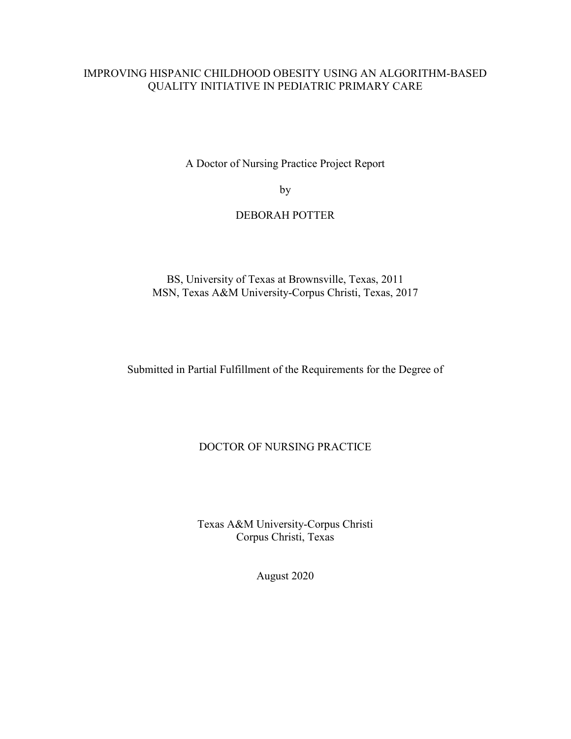## IMPROVING HISPANIC CHILDHOOD OBESITY USING AN ALGORITHM-BASED QUALITY INITIATIVE IN PEDIATRIC PRIMARY CARE

A Doctor of Nursing Practice Project Report

by

### DEBORAH POTTER

BS, University of Texas at Brownsville, Texas, 2011 MSN, Texas A&M University-Corpus Christi, Texas, 2017

Submitted in Partial Fulfillment of the Requirements for the Degree of

#### DOCTOR OF NURSING PRACTICE

Texas A&M University-Corpus Christi Corpus Christi, Texas

August 2020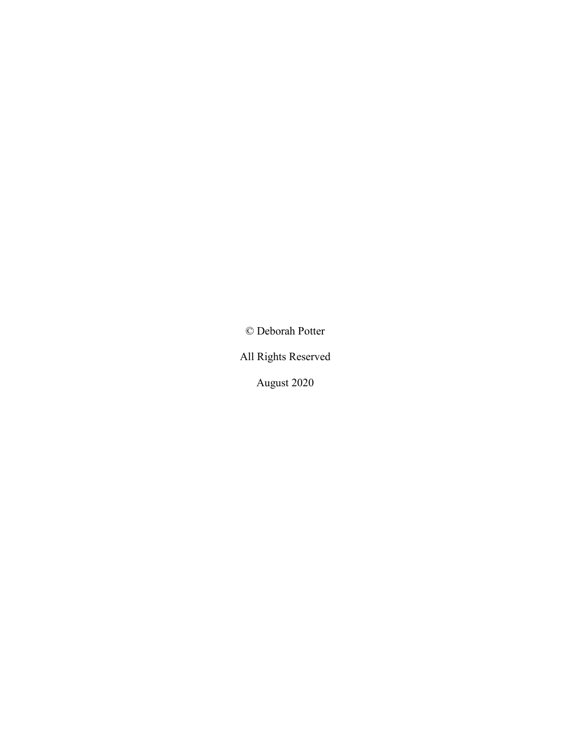© Deborah Potter

All Rights Reserved

August 2020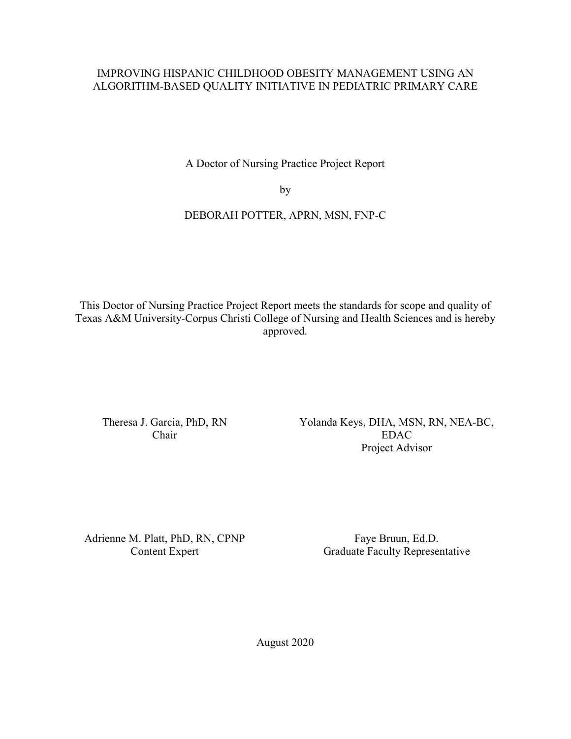## IMPROVING HISPANIC CHILDHOOD OBESITY MANAGEMENT USING AN ALGORITHM-BASED QUALITY INITIATIVE IN PEDIATRIC PRIMARY CARE

A Doctor of Nursing Practice Project Report

by

## DEBORAH POTTER, APRN, MSN, FNP-C

This Doctor of Nursing Practice Project Report meets the standards for scope and quality of Texas A&M University-Corpus Christi College of Nursing and Health Sciences and is hereby approved.

Theresa J. Garcia, PhD, RN Chair

Yolanda Keys, DHA, MSN, RN, NEA-BC, EDAC Project Advisor

Adrienne M. Platt, PhD, RN, CPNP Content Expert

Faye Bruun, Ed.D. Graduate Faculty Representative

August 2020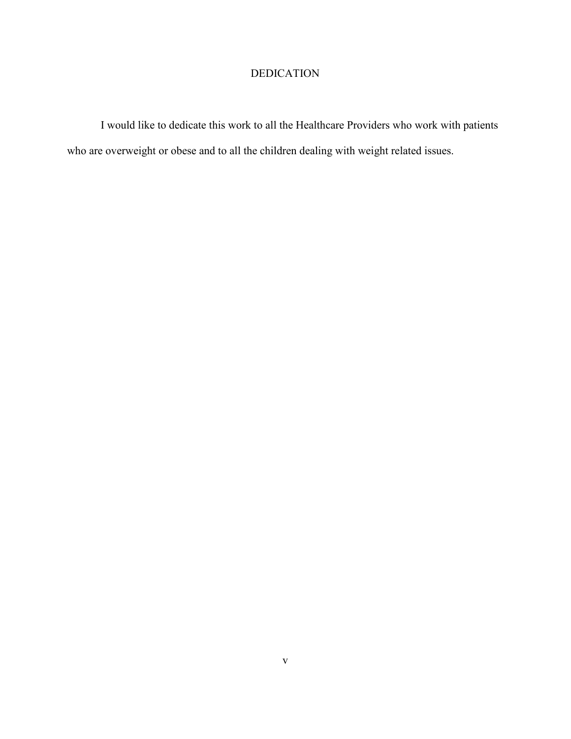## DEDICATION

I would like to dedicate this work to all the Healthcare Providers who work with patients who are overweight or obese and to all the children dealing with weight related issues.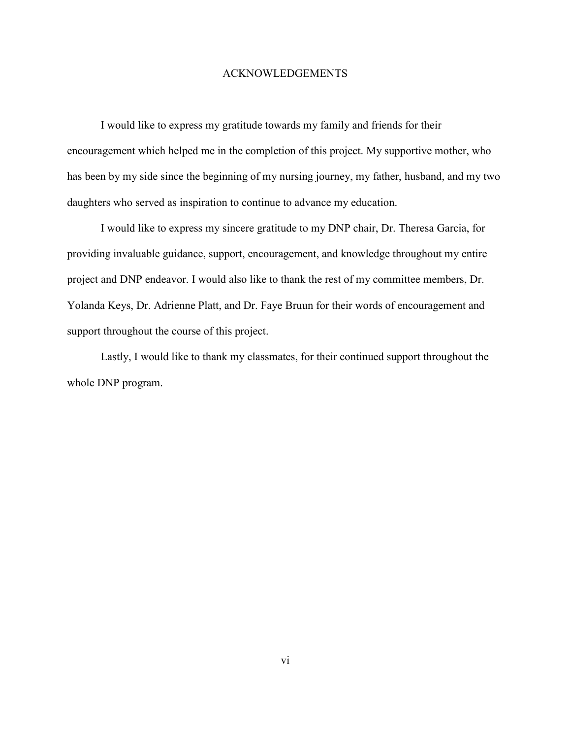#### ACKNOWLEDGEMENTS

I would like to express my gratitude towards my family and friends for their encouragement which helped me in the completion of this project. My supportive mother, who has been by my side since the beginning of my nursing journey, my father, husband, and my two daughters who served as inspiration to continue to advance my education.

I would like to express my sincere gratitude to my DNP chair, Dr. Theresa Garcia, for providing invaluable guidance, support, encouragement, and knowledge throughout my entire project and DNP endeavor. I would also like to thank the rest of my committee members, Dr. Yolanda Keys, Dr. Adrienne Platt, and Dr. Faye Bruun for their words of encouragement and support throughout the course of this project.

Lastly, I would like to thank my classmates, for their continued support throughout the whole DNP program.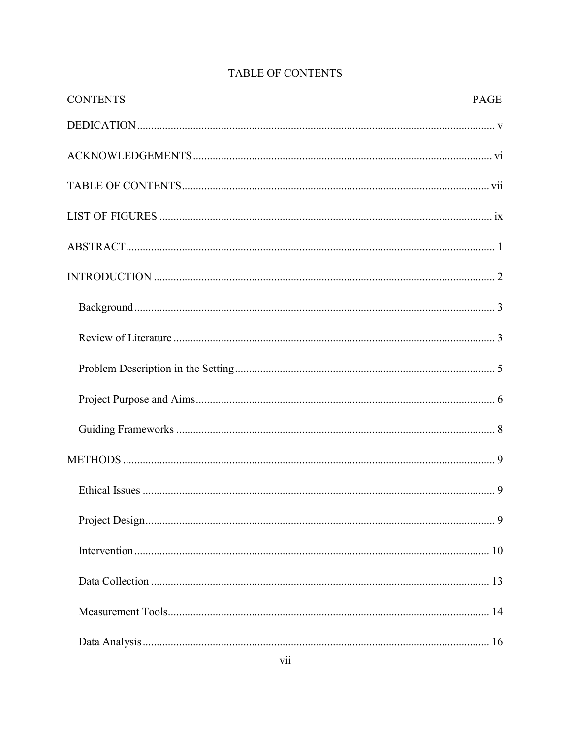| <b>CONTENTS</b> | <b>PAGE</b> |
|-----------------|-------------|
|                 |             |
|                 |             |
|                 |             |
|                 |             |
|                 |             |
|                 |             |
|                 |             |
|                 |             |
|                 |             |
|                 |             |
|                 |             |
|                 |             |
|                 |             |
|                 |             |
|                 |             |
|                 |             |
|                 |             |
|                 |             |

## **TABLE OF CONTENTS**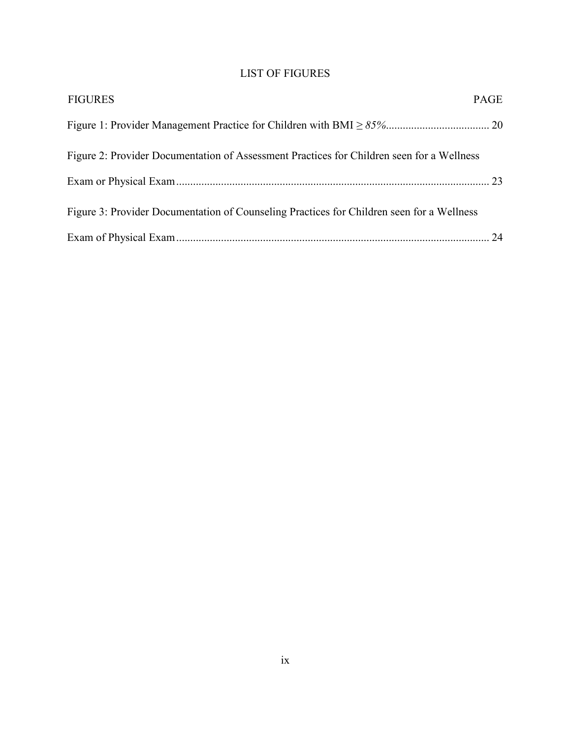## LIST OF FIGURES

| <b>FIGURES</b>                                                                            | <b>PAGE</b> |
|-------------------------------------------------------------------------------------------|-------------|
|                                                                                           |             |
| Figure 2: Provider Documentation of Assessment Practices for Children seen for a Wellness |             |
|                                                                                           |             |
| Figure 3: Provider Documentation of Counseling Practices for Children seen for a Wellness |             |
|                                                                                           |             |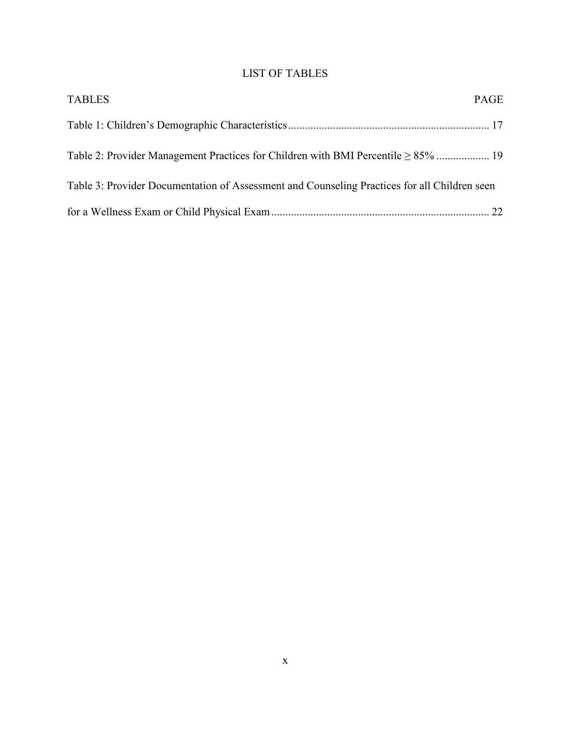## LIST OF TABLES

| <b>TABLES</b>                                                                                | PAGE |
|----------------------------------------------------------------------------------------------|------|
|                                                                                              |      |
|                                                                                              |      |
| Table 3: Provider Documentation of Assessment and Counseling Practices for all Children seen |      |
|                                                                                              |      |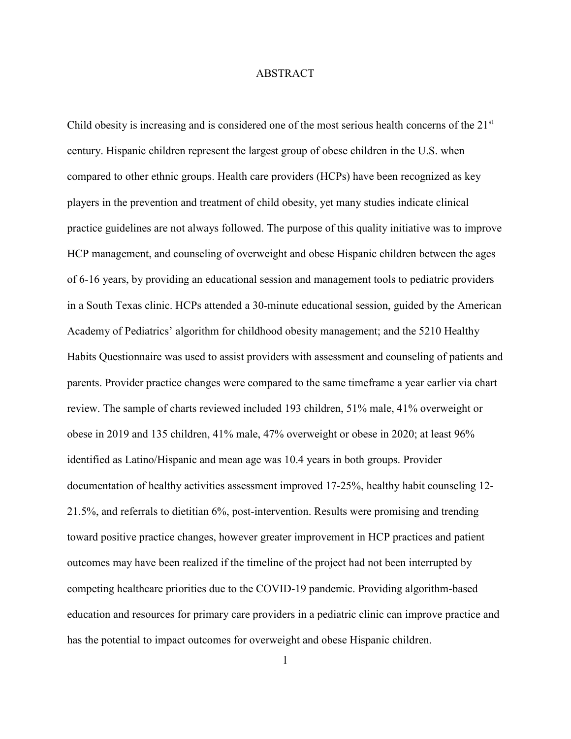#### ABSTRACT

Child obesity is increasing and is considered one of the most serious health concerns of the 21<sup>st</sup> century. Hispanic children represent the largest group of obese children in the U.S. when compared to other ethnic groups. Health care providers (HCPs) have been recognized as key players in the prevention and treatment of child obesity, yet many studies indicate clinical practice guidelines are not always followed. The purpose of this quality initiative was to improve HCP management, and counseling of overweight and obese Hispanic children between the ages of 6-16 years, by providing an educational session and management tools to pediatric providers in a South Texas clinic. HCPs attended a 30-minute educational session, guided by the American Academy of Pediatrics' algorithm for childhood obesity management; and the 5210 Healthy Habits Questionnaire was used to assist providers with assessment and counseling of patients and parents. Provider practice changes were compared to the same timeframe a year earlier via chart review. The sample of charts reviewed included 193 children, 51% male, 41% overweight or obese in 2019 and 135 children, 41% male, 47% overweight or obese in 2020; at least 96% identified as Latino/Hispanic and mean age was 10.4 years in both groups. Provider documentation of healthy activities assessment improved 17-25%, healthy habit counseling 12- 21.5%, and referrals to dietitian 6%, post-intervention. Results were promising and trending toward positive practice changes, however greater improvement in HCP practices and patient outcomes may have been realized if the timeline of the project had not been interrupted by competing healthcare priorities due to the COVID-19 pandemic. Providing algorithm-based education and resources for primary care providers in a pediatric clinic can improve practice and has the potential to impact outcomes for overweight and obese Hispanic children.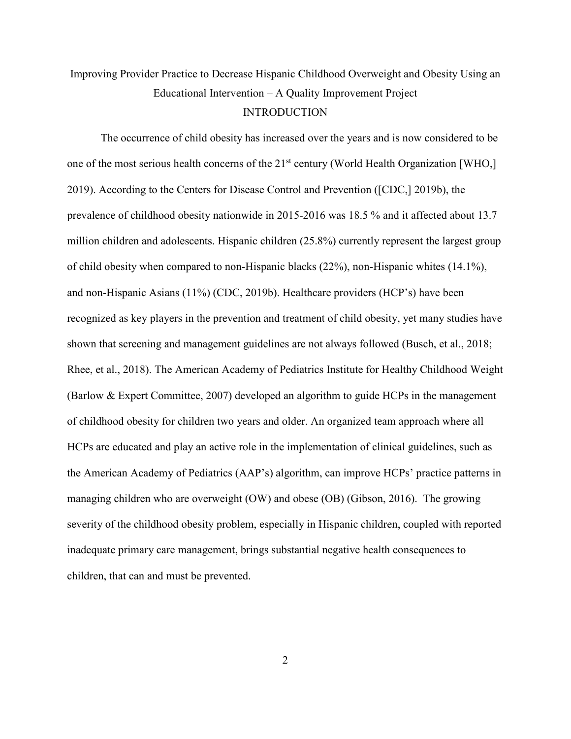## Improving Provider Practice to Decrease Hispanic Childhood Overweight and Obesity Using an Educational Intervention – A Quality Improvement Project

#### INTRODUCTION

The occurrence of child obesity has increased over the years and is now considered to be one of the most serious health concerns of the 21<sup>st</sup> century (World Health Organization [WHO,] 2019). According to the Centers for Disease Control and Prevention ([CDC,] 2019b), the prevalence of childhood obesity nationwide in 2015-2016 was 18.5 % and it affected about 13.7 million children and adolescents. Hispanic children (25.8%) currently represent the largest group of child obesity when compared to non-Hispanic blacks (22%), non-Hispanic whites (14.1%), and non-Hispanic Asians (11%) (CDC, 2019b). Healthcare providers (HCP's) have been recognized as key players in the prevention and treatment of child obesity, yet many studies have shown that screening and management guidelines are not always followed (Busch, et al., 2018; Rhee, et al., 2018). The American Academy of Pediatrics Institute for Healthy Childhood Weight (Barlow & Expert Committee, 2007) developed an algorithm to guide HCPs in the management of childhood obesity for children two years and older. An organized team approach where all HCPs are educated and play an active role in the implementation of clinical guidelines, such as the American Academy of Pediatrics (AAP's) algorithm, can improve HCPs' practice patterns in managing children who are overweight (OW) and obese (OB) (Gibson, 2016). The growing severity of the childhood obesity problem, especially in Hispanic children, coupled with reported inadequate primary care management, brings substantial negative health consequences to children, that can and must be prevented.

2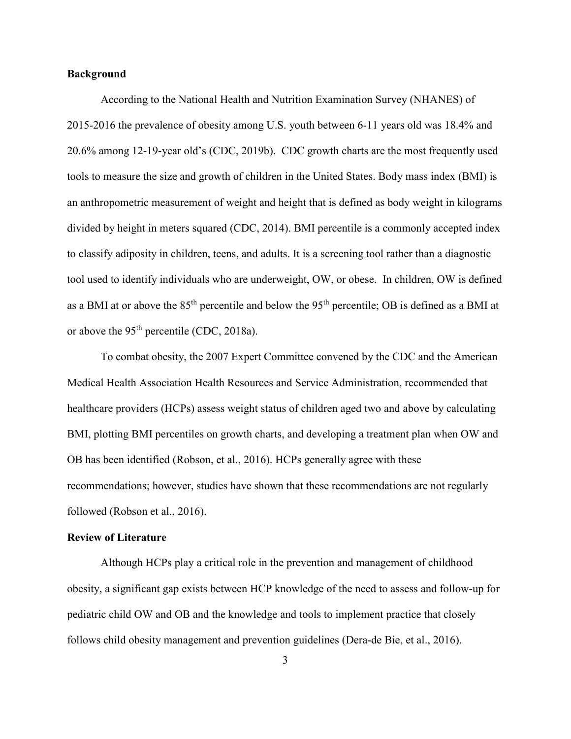#### **Background**

According to the National Health and Nutrition Examination Survey (NHANES) of 2015-2016 the prevalence of obesity among U.S. youth between 6-11 years old was 18.4% and 20.6% among 12-19-year old's (CDC, 2019b). CDC growth charts are the most frequently used tools to measure the size and growth of children in the United States. Body mass index (BMI) is an anthropometric measurement of weight and height that is defined as body weight in kilograms divided by height in meters squared (CDC, 2014). BMI percentile is a commonly accepted index to classify adiposity in children, teens, and adults. It is a screening tool rather than a diagnostic tool used to identify individuals who are underweight, OW, or obese. In children, OW is defined as a BMI at or above the 85<sup>th</sup> percentile and below the 95<sup>th</sup> percentile; OB is defined as a BMI at or above the 95th percentile (CDC, 2018a).

To combat obesity, the 2007 Expert Committee convened by the CDC and the American Medical Health Association Health Resources and Service Administration, recommended that healthcare providers (HCPs) assess weight status of children aged two and above by calculating BMI, plotting BMI percentiles on growth charts, and developing a treatment plan when OW and OB has been identified (Robson, et al., 2016). HCPs generally agree with these recommendations; however, studies have shown that these recommendations are not regularly followed (Robson et al., 2016).

#### **Review of Literature**

Although HCPs play a critical role in the prevention and management of childhood obesity, a significant gap exists between HCP knowledge of the need to assess and follow-up for pediatric child OW and OB and the knowledge and tools to implement practice that closely follows child obesity management and prevention guidelines (Dera-de Bie, et al., 2016).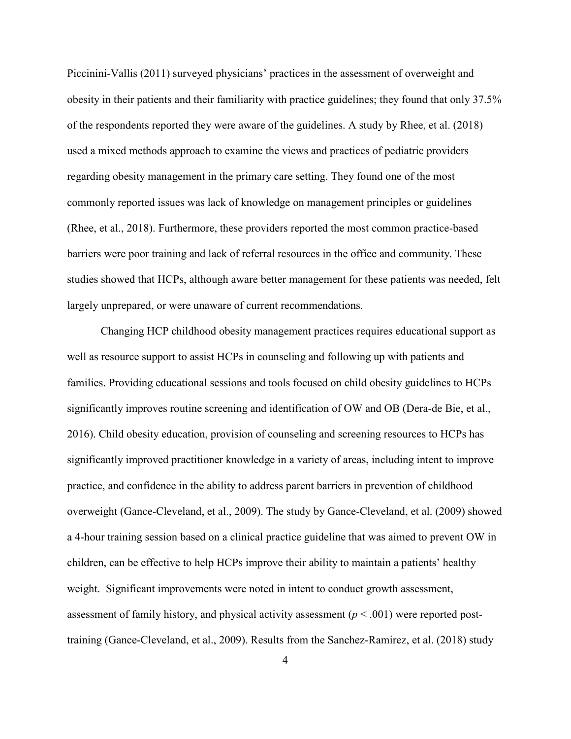Piccinini-Vallis (2011) surveyed physicians' practices in the assessment of overweight and obesity in their patients and their familiarity with practice guidelines; they found that only 37.5% of the respondents reported they were aware of the guidelines. A study by Rhee, et al. (2018) used a mixed methods approach to examine the views and practices of pediatric providers regarding obesity management in the primary care setting. They found one of the most commonly reported issues was lack of knowledge on management principles or guidelines (Rhee, et al., 2018). Furthermore, these providers reported the most common practice-based barriers were poor training and lack of referral resources in the office and community. These studies showed that HCPs, although aware better management for these patients was needed, felt largely unprepared, or were unaware of current recommendations.

Changing HCP childhood obesity management practices requires educational support as well as resource support to assist HCPs in counseling and following up with patients and families. Providing educational sessions and tools focused on child obesity guidelines to HCPs significantly improves routine screening and identification of OW and OB (Dera-de Bie, et al., 2016). Child obesity education, provision of counseling and screening resources to HCPs has significantly improved practitioner knowledge in a variety of areas, including intent to improve practice, and confidence in the ability to address parent barriers in prevention of childhood overweight (Gance-Cleveland, et al., 2009). The study by Gance-Cleveland, et al. (2009) showed a 4-hour training session based on a clinical practice guideline that was aimed to prevent OW in children, can be effective to help HCPs improve their ability to maintain a patients' healthy weight. Significant improvements were noted in intent to conduct growth assessment, assessment of family history, and physical activity assessment  $(p < .001)$  were reported posttraining (Gance-Cleveland, et al., 2009). Results from the Sanchez-Ramirez, et al. (2018) study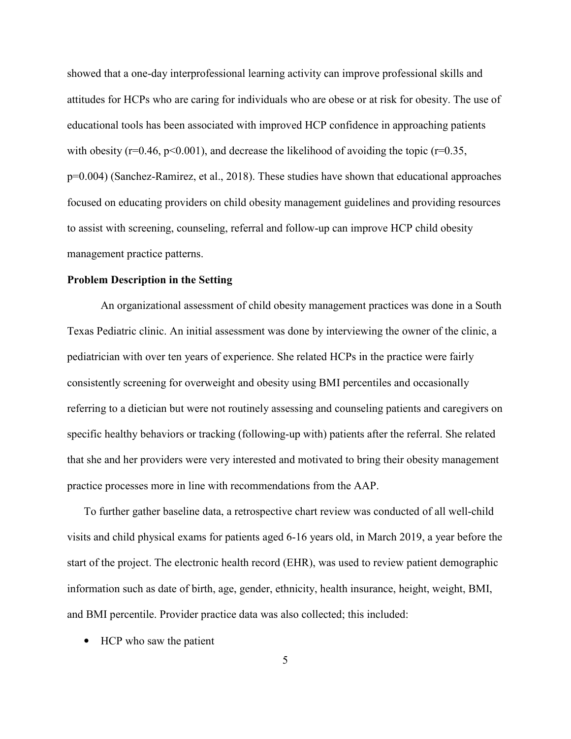showed that a one-day interprofessional learning activity can improve professional skills and attitudes for HCPs who are caring for individuals who are obese or at risk for obesity. The use of educational tools has been associated with improved HCP confidence in approaching patients with obesity ( $r=0.46$ ,  $p<0.001$ ), and decrease the likelihood of avoiding the topic ( $r=0.35$ , p=0.004) (Sanchez-Ramirez, et al., 2018). These studies have shown that educational approaches focused on educating providers on child obesity management guidelines and providing resources to assist with screening, counseling, referral and follow-up can improve HCP child obesity management practice patterns.

#### **Problem Description in the Setting**

An organizational assessment of child obesity management practices was done in a South Texas Pediatric clinic. An initial assessment was done by interviewing the owner of the clinic, a pediatrician with over ten years of experience. She related HCPs in the practice were fairly consistently screening for overweight and obesity using BMI percentiles and occasionally referring to a dietician but were not routinely assessing and counseling patients and caregivers on specific healthy behaviors or tracking (following-up with) patients after the referral. She related that she and her providers were very interested and motivated to bring their obesity management practice processes more in line with recommendations from the AAP.

To further gather baseline data, a retrospective chart review was conducted of all well-child visits and child physical exams for patients aged 6-16 years old, in March 2019, a year before the start of the project. The electronic health record (EHR), was used to review patient demographic information such as date of birth, age, gender, ethnicity, health insurance, height, weight, BMI, and BMI percentile. Provider practice data was also collected; this included:

• HCP who saw the patient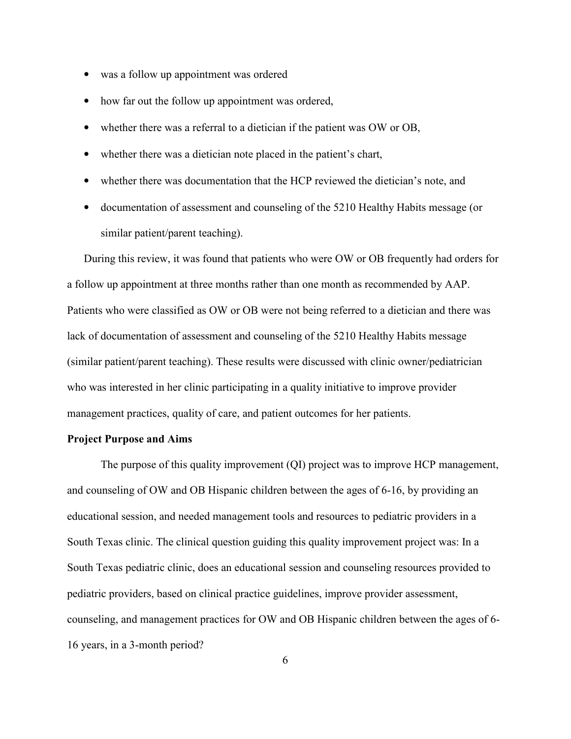- was a follow up appointment was ordered
- how far out the follow up appointment was ordered,
- whether there was a referral to a dietician if the patient was OW or OB,
- whether there was a dietician note placed in the patient's chart,
- whether there was documentation that the HCP reviewed the dietician's note, and
- documentation of assessment and counseling of the 5210 Healthy Habits message (or similar patient/parent teaching).

During this review, it was found that patients who were OW or OB frequently had orders for a follow up appointment at three months rather than one month as recommended by AAP. Patients who were classified as OW or OB were not being referred to a dietician and there was lack of documentation of assessment and counseling of the 5210 Healthy Habits message (similar patient/parent teaching). These results were discussed with clinic owner/pediatrician who was interested in her clinic participating in a quality initiative to improve provider management practices, quality of care, and patient outcomes for her patients.

#### **Project Purpose and Aims**

The purpose of this quality improvement (QI) project was to improve HCP management, and counseling of OW and OB Hispanic children between the ages of 6-16, by providing an educational session, and needed management tools and resources to pediatric providers in a South Texas clinic. The clinical question guiding this quality improvement project was: In a South Texas pediatric clinic, does an educational session and counseling resources provided to pediatric providers, based on clinical practice guidelines, improve provider assessment, counseling, and management practices for OW and OB Hispanic children between the ages of 6- 16 years, in a 3-month period?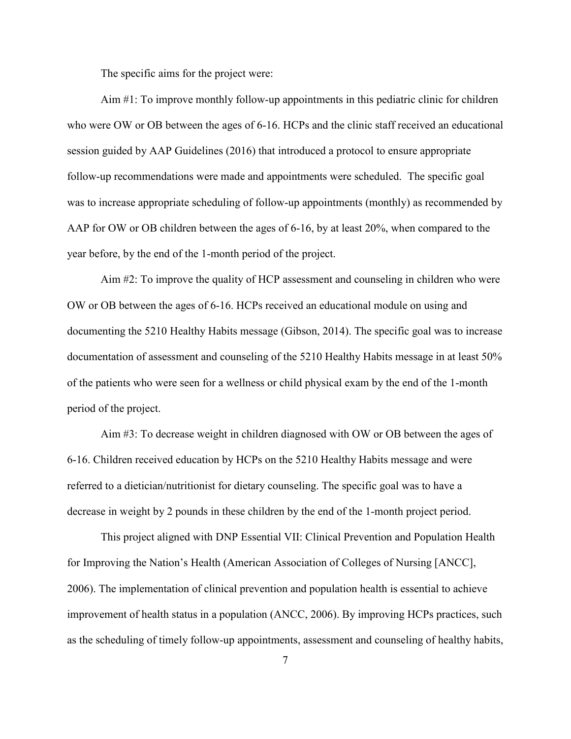The specific aims for the project were:

Aim #1: To improve monthly follow-up appointments in this pediatric clinic for children who were OW or OB between the ages of 6-16. HCPs and the clinic staff received an educational session guided by AAP Guidelines (2016) that introduced a protocol to ensure appropriate follow-up recommendations were made and appointments were scheduled. The specific goal was to increase appropriate scheduling of follow-up appointments (monthly) as recommended by AAP for OW or OB children between the ages of 6-16, by at least 20%, when compared to the year before, by the end of the 1-month period of the project.

 Aim #2: To improve the quality of HCP assessment and counseling in children who were OW or OB between the ages of 6-16. HCPs received an educational module on using and documenting the 5210 Healthy Habits message (Gibson, 2014). The specific goal was to increase documentation of assessment and counseling of the 5210 Healthy Habits message in at least 50% of the patients who were seen for a wellness or child physical exam by the end of the 1-month period of the project.

Aim #3: To decrease weight in children diagnosed with OW or OB between the ages of 6-16. Children received education by HCPs on the 5210 Healthy Habits message and were referred to a dietician/nutritionist for dietary counseling. The specific goal was to have a decrease in weight by 2 pounds in these children by the end of the 1-month project period.

This project aligned with DNP Essential VII: Clinical Prevention and Population Health for Improving the Nation's Health (American Association of Colleges of Nursing [ANCC], 2006). The implementation of clinical prevention and population health is essential to achieve improvement of health status in a population (ANCC, 2006). By improving HCPs practices, such as the scheduling of timely follow-up appointments, assessment and counseling of healthy habits,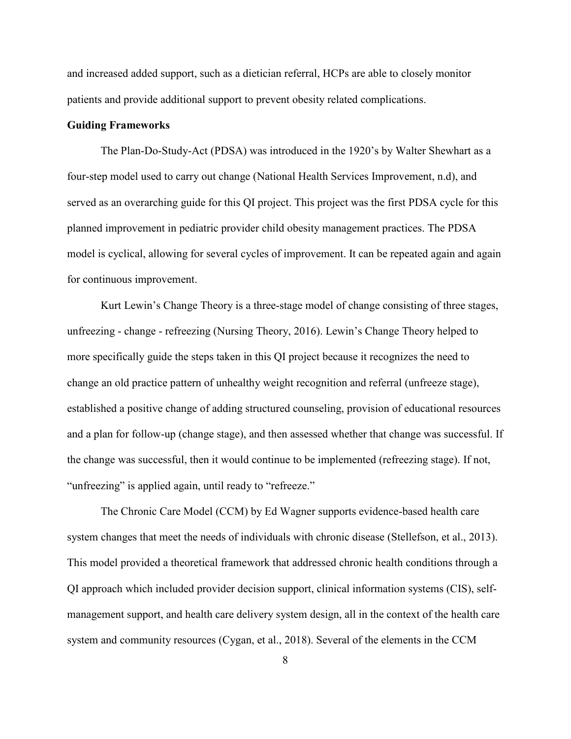and increased added support, such as a dietician referral, HCPs are able to closely monitor patients and provide additional support to prevent obesity related complications.

#### **Guiding Frameworks**

The Plan-Do-Study-Act (PDSA) was introduced in the 1920's by Walter Shewhart as a four-step model used to carry out change (National Health Services Improvement, n.d), and served as an overarching guide for this QI project. This project was the first PDSA cycle for this planned improvement in pediatric provider child obesity management practices. The PDSA model is cyclical, allowing for several cycles of improvement. It can be repeated again and again for continuous improvement.

Kurt Lewin's Change Theory is a three-stage model of change consisting of three stages, unfreezing - change - refreezing (Nursing Theory, 2016). Lewin's Change Theory helped to more specifically guide the steps taken in this QI project because it recognizes the need to change an old practice pattern of unhealthy weight recognition and referral (unfreeze stage), established a positive change of adding structured counseling, provision of educational resources and a plan for follow-up (change stage), and then assessed whether that change was successful. If the change was successful, then it would continue to be implemented (refreezing stage). If not, "unfreezing" is applied again, until ready to "refreeze."

 The Chronic Care Model (CCM) by Ed Wagner supports evidence-based health care system changes that meet the needs of individuals with chronic disease (Stellefson, et al., 2013). This model provided a theoretical framework that addressed chronic health conditions through a QI approach which included provider decision support, clinical information systems (CIS), selfmanagement support, and health care delivery system design, all in the context of the health care system and community resources (Cygan, et al., 2018). Several of the elements in the CCM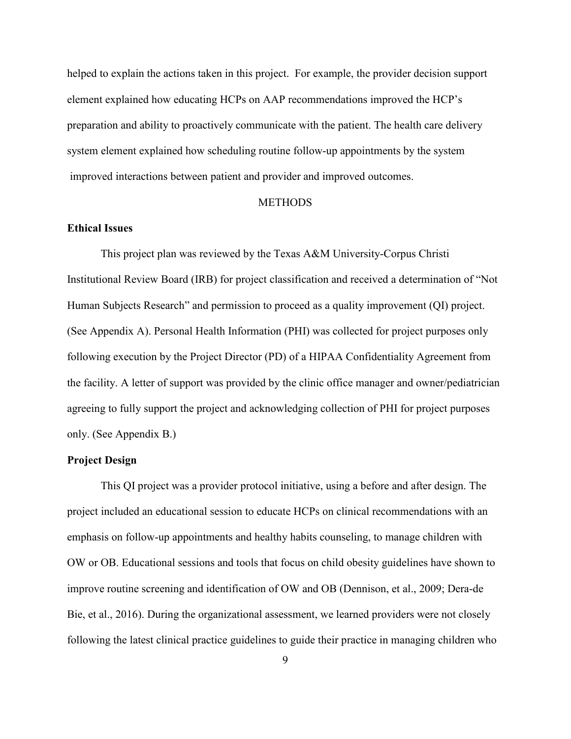helped to explain the actions taken in this project. For example, the provider decision support element explained how educating HCPs on AAP recommendations improved the HCP's preparation and ability to proactively communicate with the patient. The health care delivery system element explained how scheduling routine follow-up appointments by the system improved interactions between patient and provider and improved outcomes.

#### **METHODS**

#### **Ethical Issues**

This project plan was reviewed by the Texas A&M University-Corpus Christi Institutional Review Board (IRB) for project classification and received a determination of "Not Human Subjects Research" and permission to proceed as a quality improvement (QI) project. (See Appendix A). Personal Health Information (PHI) was collected for project purposes only following execution by the Project Director (PD) of a HIPAA Confidentiality Agreement from the facility. A letter of support was provided by the clinic office manager and owner/pediatrician agreeing to fully support the project and acknowledging collection of PHI for project purposes only. (See Appendix B.)

#### **Project Design**

This QI project was a provider protocol initiative, using a before and after design. The project included an educational session to educate HCPs on clinical recommendations with an emphasis on follow-up appointments and healthy habits counseling, to manage children with OW or OB. Educational sessions and tools that focus on child obesity guidelines have shown to improve routine screening and identification of OW and OB (Dennison, et al., 2009; Dera-de Bie, et al., 2016). During the organizational assessment, we learned providers were not closely following the latest clinical practice guidelines to guide their practice in managing children who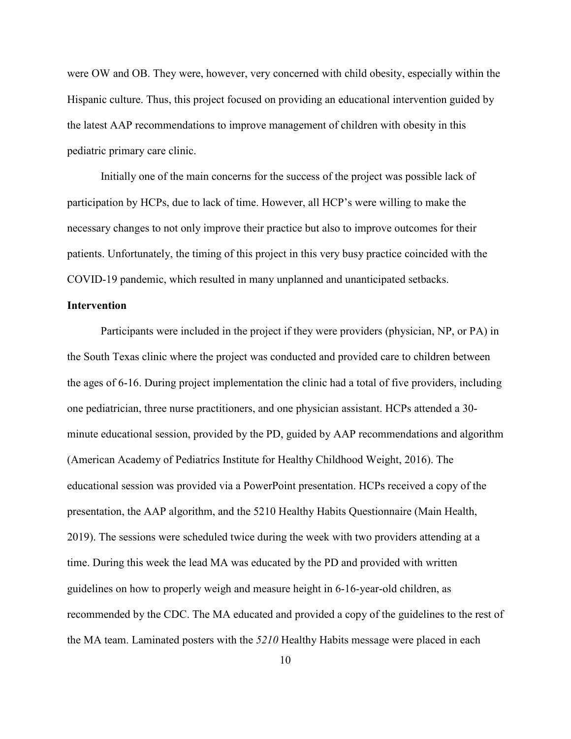were OW and OB. They were, however, very concerned with child obesity, especially within the Hispanic culture. Thus, this project focused on providing an educational intervention guided by the latest AAP recommendations to improve management of children with obesity in this pediatric primary care clinic.

Initially one of the main concerns for the success of the project was possible lack of participation by HCPs, due to lack of time. However, all HCP's were willing to make the necessary changes to not only improve their practice but also to improve outcomes for their patients. Unfortunately, the timing of this project in this very busy practice coincided with the COVID-19 pandemic, which resulted in many unplanned and unanticipated setbacks.

#### **Intervention**

Participants were included in the project if they were providers (physician, NP, or PA) in the South Texas clinic where the project was conducted and provided care to children between the ages of 6-16. During project implementation the clinic had a total of five providers, including one pediatrician, three nurse practitioners, and one physician assistant. HCPs attended a 30 minute educational session, provided by the PD, guided by AAP recommendations and algorithm (American Academy of Pediatrics Institute for Healthy Childhood Weight, 2016). The educational session was provided via a PowerPoint presentation. HCPs received a copy of the presentation, the AAP algorithm, and the 5210 Healthy Habits Questionnaire (Main Health, 2019). The sessions were scheduled twice during the week with two providers attending at a time. During this week the lead MA was educated by the PD and provided with written guidelines on how to properly weigh and measure height in 6-16-year-old children, as recommended by the CDC. The MA educated and provided a copy of the guidelines to the rest of the MA team. Laminated posters with the *5210* Healthy Habits message were placed in each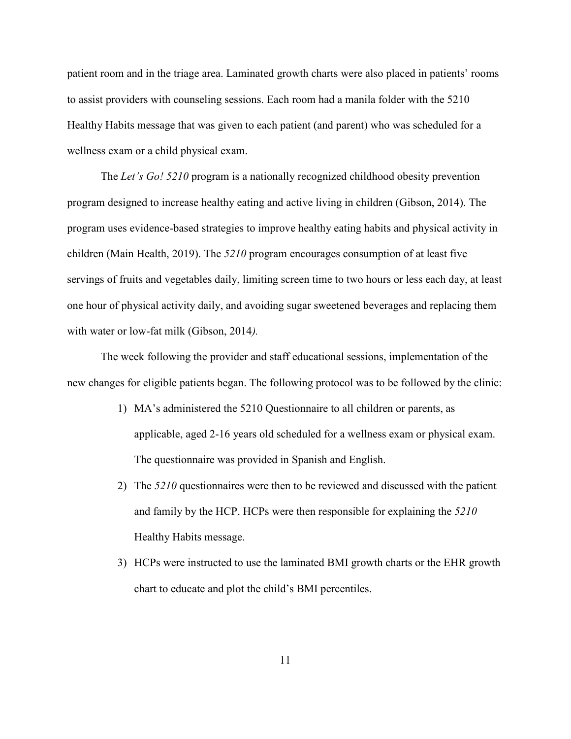patient room and in the triage area. Laminated growth charts were also placed in patients' rooms to assist providers with counseling sessions. Each room had a manila folder with the 5210 Healthy Habits message that was given to each patient (and parent) who was scheduled for a wellness exam or a child physical exam.

The *Let's Go! 5210* program is a nationally recognized childhood obesity prevention program designed to increase healthy eating and active living in children (Gibson, 2014). The program uses evidence-based strategies to improve healthy eating habits and physical activity in children (Main Health, 2019). The *5210* program encourages consumption of at least five servings of fruits and vegetables daily, limiting screen time to two hours or less each day, at least one hour of physical activity daily, and avoiding sugar sweetened beverages and replacing them with water or low-fat milk (Gibson, 2014*).*

The week following the provider and staff educational sessions, implementation of the new changes for eligible patients began. The following protocol was to be followed by the clinic:

- 1) MA's administered the 5210 Questionnaire to all children or parents, as applicable, aged 2-16 years old scheduled for a wellness exam or physical exam. The questionnaire was provided in Spanish and English.
- 2) The *5210* questionnaires were then to be reviewed and discussed with the patient and family by the HCP. HCPs were then responsible for explaining the *5210* Healthy Habits message.
- 3) HCPs were instructed to use the laminated BMI growth charts or the EHR growth chart to educate and plot the child's BMI percentiles.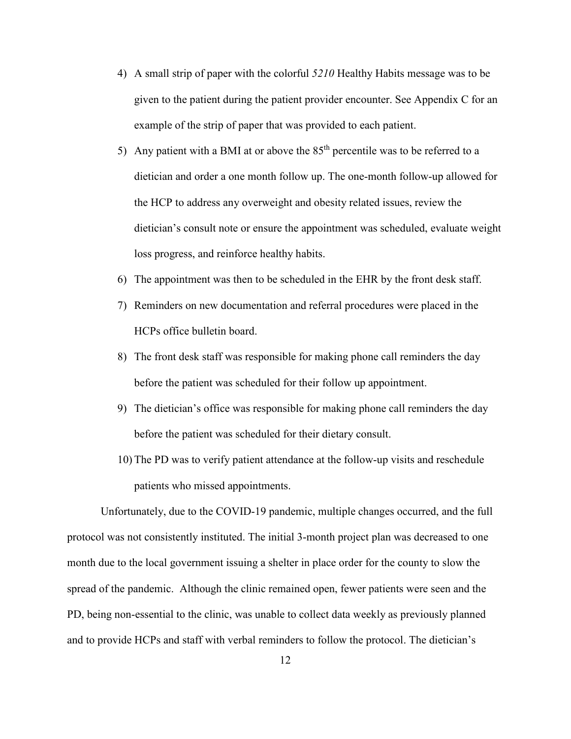- 4) A small strip of paper with the colorful *5210* Healthy Habits message was to be given to the patient during the patient provider encounter. See Appendix C for an example of the strip of paper that was provided to each patient.
- 5) Any patient with a BMI at or above the  $85<sup>th</sup>$  percentile was to be referred to a dietician and order a one month follow up. The one-month follow-up allowed for the HCP to address any overweight and obesity related issues, review the dietician's consult note or ensure the appointment was scheduled, evaluate weight loss progress, and reinforce healthy habits.
- 6) The appointment was then to be scheduled in the EHR by the front desk staff.
- 7) Reminders on new documentation and referral procedures were placed in the HCPs office bulletin board.
- 8) The front desk staff was responsible for making phone call reminders the day before the patient was scheduled for their follow up appointment.
- 9) The dietician's office was responsible for making phone call reminders the day before the patient was scheduled for their dietary consult.
- 10) The PD was to verify patient attendance at the follow-up visits and reschedule patients who missed appointments.

Unfortunately, due to the COVID-19 pandemic, multiple changes occurred, and the full protocol was not consistently instituted. The initial 3-month project plan was decreased to one month due to the local government issuing a shelter in place order for the county to slow the spread of the pandemic. Although the clinic remained open, fewer patients were seen and the PD, being non-essential to the clinic, was unable to collect data weekly as previously planned and to provide HCPs and staff with verbal reminders to follow the protocol. The dietician's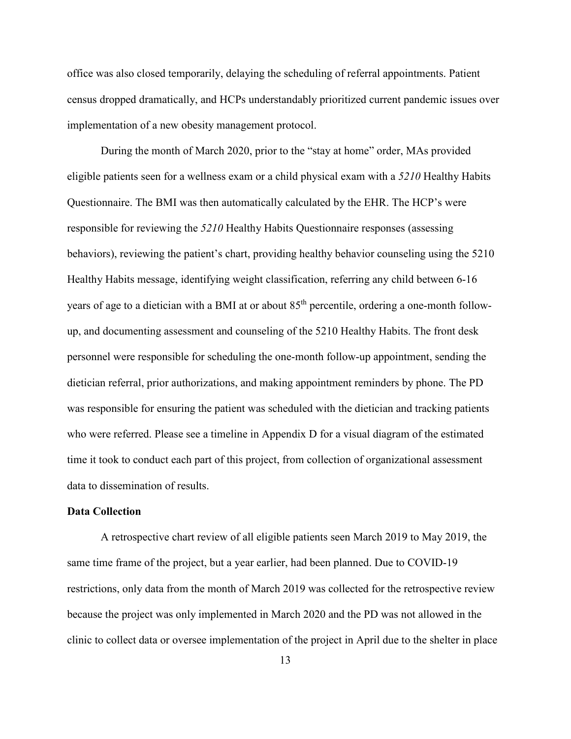office was also closed temporarily, delaying the scheduling of referral appointments. Patient census dropped dramatically, and HCPs understandably prioritized current pandemic issues over implementation of a new obesity management protocol.

During the month of March 2020, prior to the "stay at home" order, MAs provided eligible patients seen for a wellness exam or a child physical exam with a *5210* Healthy Habits Questionnaire. The BMI was then automatically calculated by the EHR. The HCP's were responsible for reviewing the *5210* Healthy Habits Questionnaire responses (assessing behaviors), reviewing the patient's chart, providing healthy behavior counseling using the 5210 Healthy Habits message, identifying weight classification, referring any child between 6-16 years of age to a dietician with a BMI at or about 85<sup>th</sup> percentile, ordering a one-month followup, and documenting assessment and counseling of the 5210 Healthy Habits. The front desk personnel were responsible for scheduling the one-month follow-up appointment, sending the dietician referral, prior authorizations, and making appointment reminders by phone. The PD was responsible for ensuring the patient was scheduled with the dietician and tracking patients who were referred. Please see a timeline in Appendix D for a visual diagram of the estimated time it took to conduct each part of this project, from collection of organizational assessment data to dissemination of results.

#### **Data Collection**

A retrospective chart review of all eligible patients seen March 2019 to May 2019, the same time frame of the project, but a year earlier, had been planned. Due to COVID-19 restrictions, only data from the month of March 2019 was collected for the retrospective review because the project was only implemented in March 2020 and the PD was not allowed in the clinic to collect data or oversee implementation of the project in April due to the shelter in place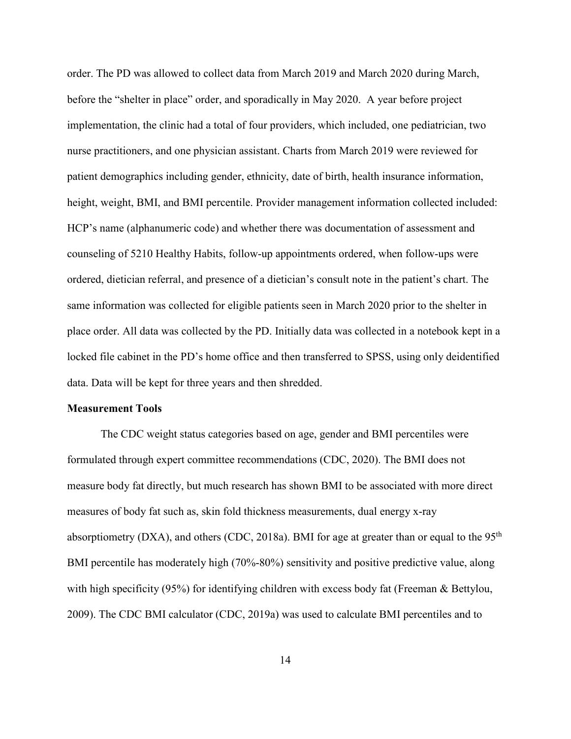order. The PD was allowed to collect data from March 2019 and March 2020 during March, before the "shelter in place" order, and sporadically in May 2020. A year before project implementation, the clinic had a total of four providers, which included, one pediatrician, two nurse practitioners, and one physician assistant. Charts from March 2019 were reviewed for patient demographics including gender, ethnicity, date of birth, health insurance information, height, weight, BMI, and BMI percentile. Provider management information collected included: HCP's name (alphanumeric code) and whether there was documentation of assessment and counseling of 5210 Healthy Habits, follow-up appointments ordered, when follow-ups were ordered, dietician referral, and presence of a dietician's consult note in the patient's chart. The same information was collected for eligible patients seen in March 2020 prior to the shelter in place order. All data was collected by the PD. Initially data was collected in a notebook kept in a locked file cabinet in the PD's home office and then transferred to SPSS, using only deidentified data. Data will be kept for three years and then shredded.

#### **Measurement Tools**

The CDC weight status categories based on age, gender and BMI percentiles were formulated through expert committee recommendations (CDC, 2020). The BMI does not measure body fat directly, but much research has shown BMI to be associated with more direct measures of body fat such as, skin fold thickness measurements, dual energy x-ray absorptiometry (DXA), and others (CDC, 2018a). BMI for age at greater than or equal to the  $95<sup>th</sup>$ BMI percentile has moderately high (70%-80%) sensitivity and positive predictive value, along with high specificity (95%) for identifying children with excess body fat (Freeman & Bettylou, 2009). The CDC BMI calculator (CDC, 2019a) was used to calculate BMI percentiles and to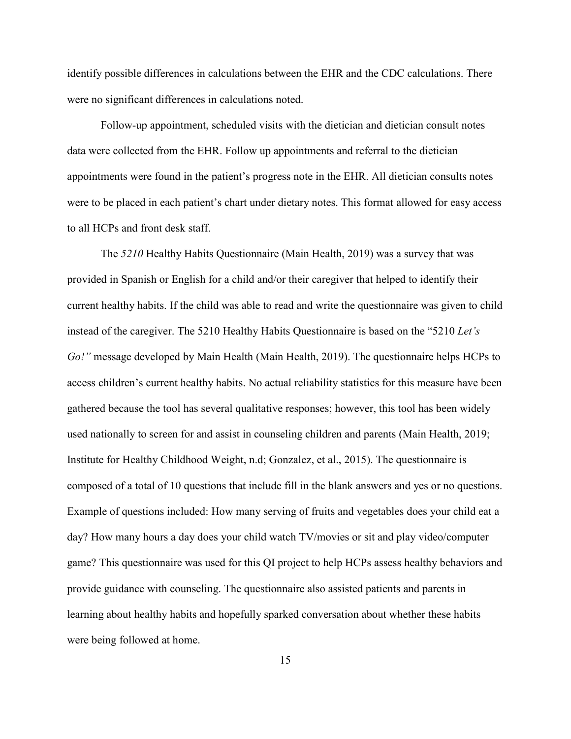identify possible differences in calculations between the EHR and the CDC calculations. There were no significant differences in calculations noted.

 Follow-up appointment, scheduled visits with the dietician and dietician consult notes data were collected from the EHR. Follow up appointments and referral to the dietician appointments were found in the patient's progress note in the EHR. All dietician consults notes were to be placed in each patient's chart under dietary notes. This format allowed for easy access to all HCPs and front desk staff.

 The *5210* Healthy Habits Questionnaire (Main Health, 2019) was a survey that was provided in Spanish or English for a child and/or their caregiver that helped to identify their current healthy habits. If the child was able to read and write the questionnaire was given to child instead of the caregiver. The 5210 Healthy Habits Questionnaire is based on the "5210 *Let's Go!"* message developed by Main Health (Main Health, 2019). The questionnaire helps HCPs to access children's current healthy habits. No actual reliability statistics for this measure have been gathered because the tool has several qualitative responses; however, this tool has been widely used nationally to screen for and assist in counseling children and parents (Main Health, 2019; Institute for Healthy Childhood Weight, n.d; Gonzalez, et al., 2015). The questionnaire is composed of a total of 10 questions that include fill in the blank answers and yes or no questions. Example of questions included: How many serving of fruits and vegetables does your child eat a day? How many hours a day does your child watch TV/movies or sit and play video/computer game? This questionnaire was used for this QI project to help HCPs assess healthy behaviors and provide guidance with counseling. The questionnaire also assisted patients and parents in learning about healthy habits and hopefully sparked conversation about whether these habits were being followed at home.

15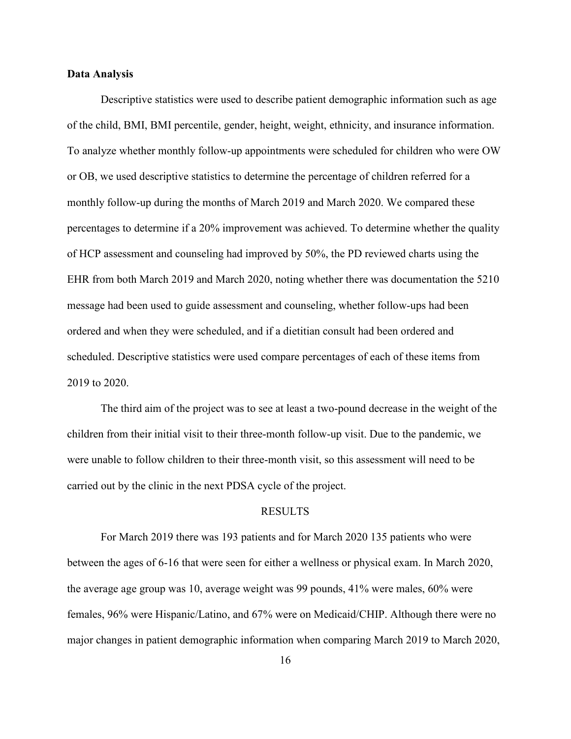#### **Data Analysis**

Descriptive statistics were used to describe patient demographic information such as age of the child, BMI, BMI percentile, gender, height, weight, ethnicity, and insurance information. To analyze whether monthly follow-up appointments were scheduled for children who were OW or OB, we used descriptive statistics to determine the percentage of children referred for a monthly follow-up during the months of March 2019 and March 2020. We compared these percentages to determine if a 20% improvement was achieved. To determine whether the quality of HCP assessment and counseling had improved by 50%, the PD reviewed charts using the EHR from both March 2019 and March 2020, noting whether there was documentation the 5210 message had been used to guide assessment and counseling, whether follow-ups had been ordered and when they were scheduled, and if a dietitian consult had been ordered and scheduled. Descriptive statistics were used compare percentages of each of these items from 2019 to 2020.

The third aim of the project was to see at least a two-pound decrease in the weight of the children from their initial visit to their three-month follow-up visit. Due to the pandemic, we were unable to follow children to their three-month visit, so this assessment will need to be carried out by the clinic in the next PDSA cycle of the project.

#### RESULTS

For March 2019 there was 193 patients and for March 2020 135 patients who were between the ages of 6-16 that were seen for either a wellness or physical exam. In March 2020, the average age group was 10, average weight was 99 pounds, 41% were males, 60% were females, 96% were Hispanic/Latino, and 67% were on Medicaid/CHIP. Although there were no major changes in patient demographic information when comparing March 2019 to March 2020,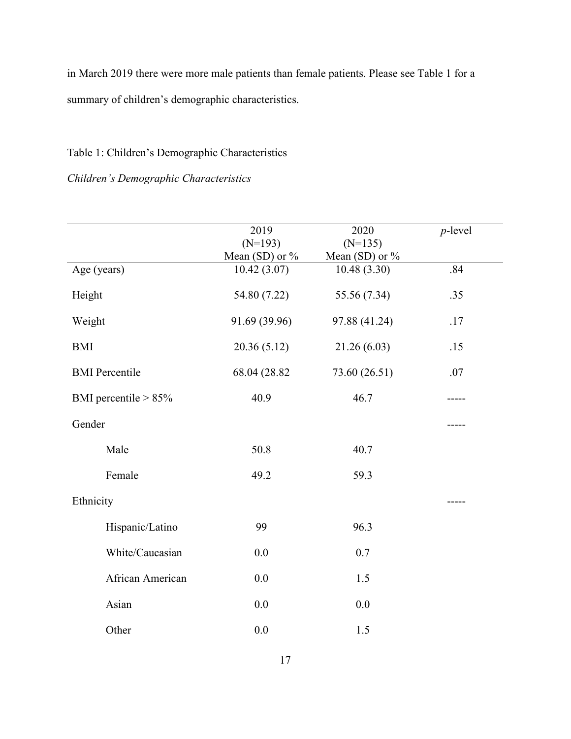in March 2019 there were more male patients than female patients. Please see Table 1 for a summary of children's demographic characteristics.

## Table 1: Children's Demographic Characteristics

## *Children's Demographic Characteristics*

|                         | 2019             | 2020             | $p$ -level |
|-------------------------|------------------|------------------|------------|
|                         | $(N=193)$        | $(N=135)$        |            |
|                         | Mean $(SD)$ or % | Mean (SD) or $%$ |            |
| Age (years)             | 10.42(3.07)      | 10.48(3.30)      | .84        |
| Height                  | 54.80 (7.22)     | 55.56 (7.34)     | .35        |
| Weight                  | 91.69 (39.96)    | 97.88 (41.24)    | .17        |
| <b>BMI</b>              | 20.36(5.12)      | 21.26 (6.03)     | .15        |
| <b>BMI</b> Percentile   | 68.04 (28.82)    | 73.60 (26.51)    | .07        |
| BMI percentile $> 85\%$ | 40.9             | 46.7             |            |
| Gender                  |                  |                  |            |
| Male                    | 50.8             | 40.7             |            |
| Female                  | 49.2             | 59.3             |            |
| Ethnicity               |                  |                  |            |
| Hispanic/Latino         | 99               | 96.3             |            |
| White/Caucasian         | 0.0              | 0.7              |            |
| African American        | $0.0\,$          | 1.5              |            |
| Asian                   | 0.0              | 0.0              |            |
| Other                   | 0.0              | 1.5              |            |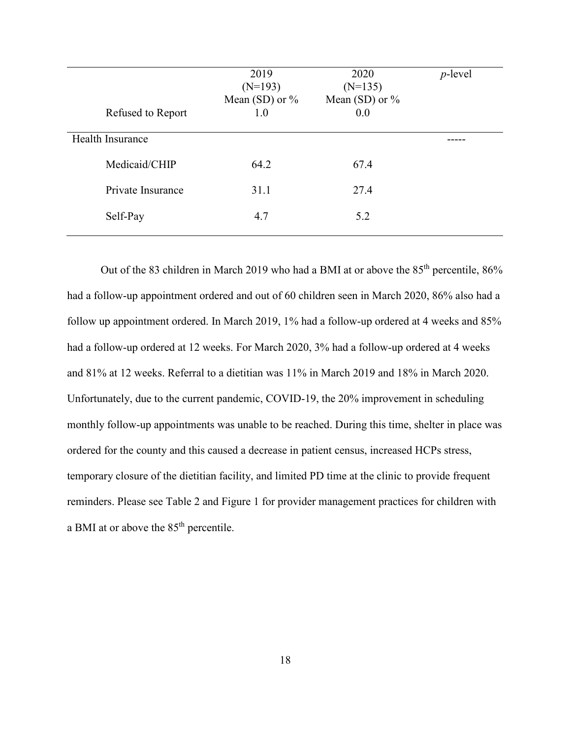| Refused to Report | 2019<br>$(N=193)$<br>Mean (SD) or $\%$<br>1.0 | 2020<br>$(N=135)$<br>Mean (SD) or $\%$<br>0.0 | $p$ -level |
|-------------------|-----------------------------------------------|-----------------------------------------------|------------|
| Health Insurance  |                                               |                                               |            |
| Medicaid/CHIP     | 64.2                                          | 67.4                                          |            |
| Private Insurance | 31.1                                          | 27.4                                          |            |
| Self-Pay          | 4.7                                           | 5.2                                           |            |

Out of the 83 children in March 2019 who had a BMI at or above the 85<sup>th</sup> percentile, 86% had a follow-up appointment ordered and out of 60 children seen in March 2020, 86% also had a follow up appointment ordered. In March 2019, 1% had a follow-up ordered at 4 weeks and 85% had a follow-up ordered at 12 weeks. For March 2020, 3% had a follow-up ordered at 4 weeks and 81% at 12 weeks. Referral to a dietitian was 11% in March 2019 and 18% in March 2020. Unfortunately, due to the current pandemic, COVID-19, the 20% improvement in scheduling monthly follow-up appointments was unable to be reached. During this time, shelter in place was ordered for the county and this caused a decrease in patient census, increased HCPs stress, temporary closure of the dietitian facility, and limited PD time at the clinic to provide frequent reminders. Please see Table 2 and Figure 1 for provider management practices for children with a BMI at or above the 85th percentile.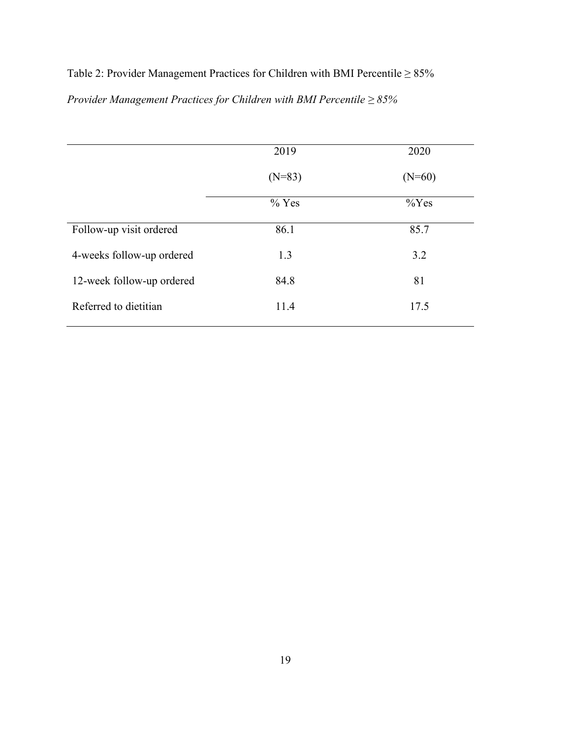# Table 2: Provider Management Practices for Children with BMI Percentile ≥ 85% *Provider Management Practices for Children with BMI Percentile ≥ 85%*

|                           | 2019     | 2020     |
|---------------------------|----------|----------|
|                           | $(N=83)$ | $(N=60)$ |
|                           | $%$ Yes  | $\%$ Yes |
| Follow-up visit ordered   | 86.1     | 85.7     |
| 4-weeks follow-up ordered | 1.3      | 3.2      |
| 12-week follow-up ordered | 84.8     | 81       |
| Referred to dietitian     | 11.4     | 17.5     |
|                           |          |          |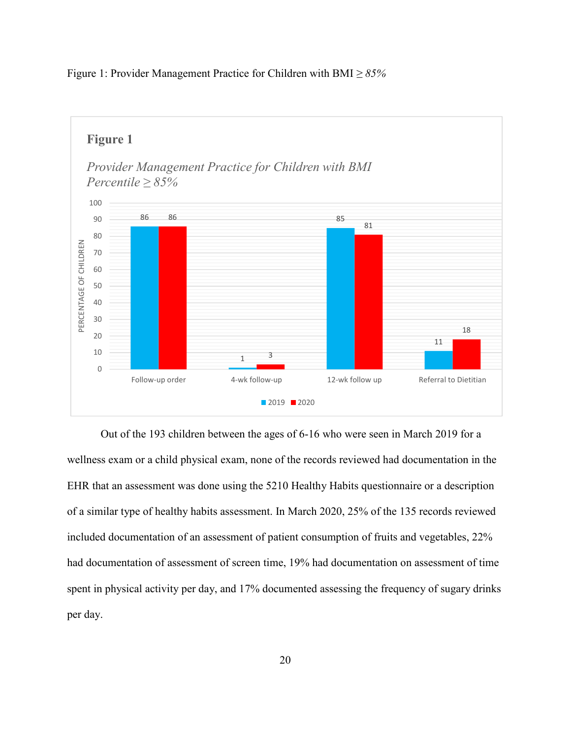

Figure 1: Provider Management Practice for Children with BMI *≥ 85%*

Out of the 193 children between the ages of 6-16 who were seen in March 2019 for a wellness exam or a child physical exam, none of the records reviewed had documentation in the EHR that an assessment was done using the 5210 Healthy Habits questionnaire or a description of a similar type of healthy habits assessment. In March 2020, 25% of the 135 records reviewed included documentation of an assessment of patient consumption of fruits and vegetables, 22% had documentation of assessment of screen time, 19% had documentation on assessment of time spent in physical activity per day, and 17% documented assessing the frequency of sugary drinks per day.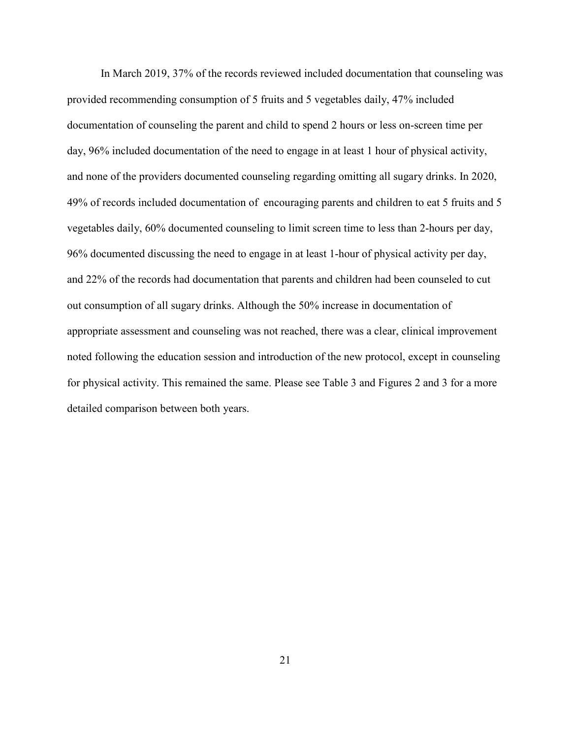In March 2019, 37% of the records reviewed included documentation that counseling was provided recommending consumption of 5 fruits and 5 vegetables daily, 47% included documentation of counseling the parent and child to spend 2 hours or less on-screen time per day, 96% included documentation of the need to engage in at least 1 hour of physical activity, and none of the providers documented counseling regarding omitting all sugary drinks. In 2020, 49% of records included documentation of encouraging parents and children to eat 5 fruits and 5 vegetables daily, 60% documented counseling to limit screen time to less than 2-hours per day, 96% documented discussing the need to engage in at least 1-hour of physical activity per day, and 22% of the records had documentation that parents and children had been counseled to cut out consumption of all sugary drinks. Although the 50% increase in documentation of appropriate assessment and counseling was not reached, there was a clear, clinical improvement noted following the education session and introduction of the new protocol, except in counseling for physical activity. This remained the same. Please see Table 3 and Figures 2 and 3 for a more detailed comparison between both years.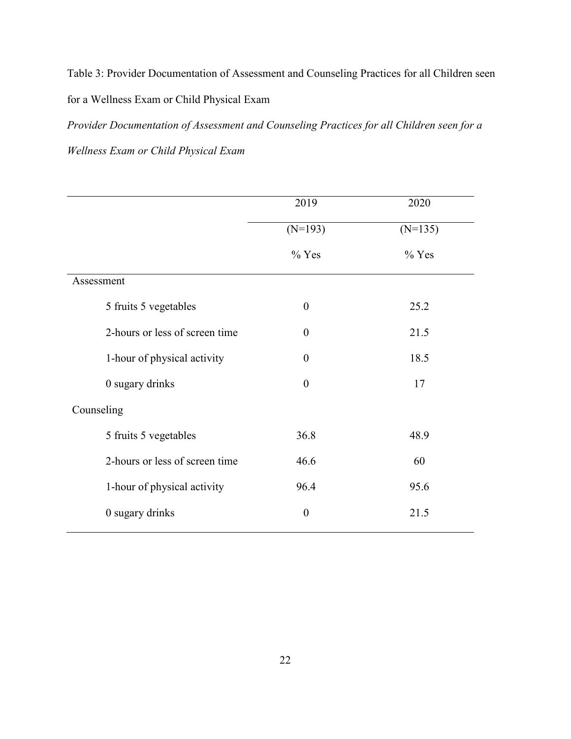Table 3: Provider Documentation of Assessment and Counseling Practices for all Children seen for a Wellness Exam or Child Physical Exam

*Provider Documentation of Assessment and Counseling Practices for all Children seen for a Wellness Exam or Child Physical Exam* 

|                                | 2019             | 2020      |
|--------------------------------|------------------|-----------|
|                                | $(N=193)$        | $(N=135)$ |
|                                | $%$ Yes          | $%$ Yes   |
| Assessment                     |                  |           |
| 5 fruits 5 vegetables          | $\theta$         | 25.2      |
| 2-hours or less of screen time | $\theta$         | 21.5      |
| 1-hour of physical activity    | $\theta$         | 18.5      |
| 0 sugary drinks                | $\overline{0}$   | 17        |
| Counseling                     |                  |           |
| 5 fruits 5 vegetables          | 36.8             | 48.9      |
| 2-hours or less of screen time | 46.6             | 60        |
| 1-hour of physical activity    | 96.4             | 95.6      |
| 0 sugary drinks                | $\boldsymbol{0}$ | 21.5      |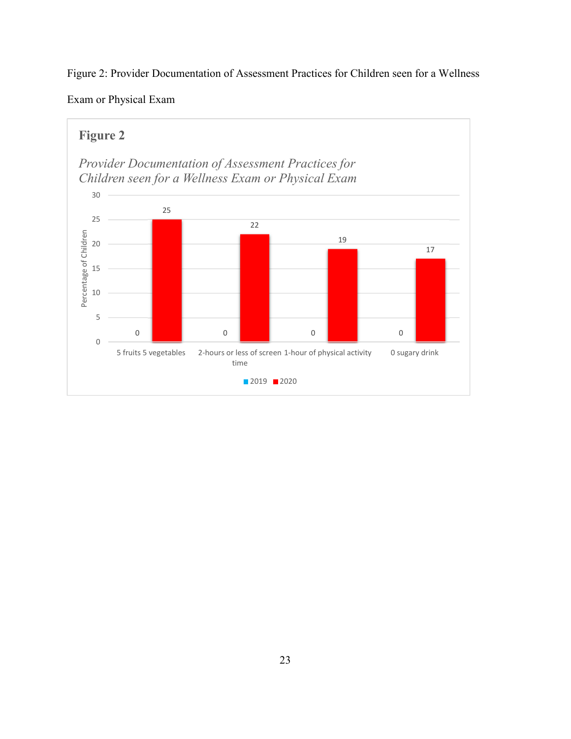Figure 2: Provider Documentation of Assessment Practices for Children seen for a Wellness

Exam or Physical Exam

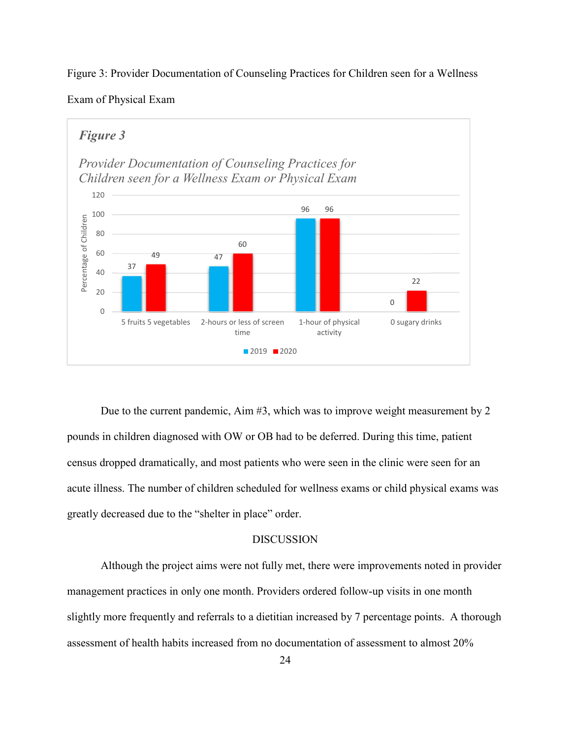





Due to the current pandemic, Aim #3, which was to improve weight measurement by 2 pounds in children diagnosed with OW or OB had to be deferred. During this time, patient census dropped dramatically, and most patients who were seen in the clinic were seen for an acute illness. The number of children scheduled for wellness exams or child physical exams was greatly decreased due to the "shelter in place" order.

#### DISCUSSION

Although the project aims were not fully met, there were improvements noted in provider management practices in only one month. Providers ordered follow-up visits in one month slightly more frequently and referrals to a dietitian increased by 7 percentage points. A thorough assessment of health habits increased from no documentation of assessment to almost 20%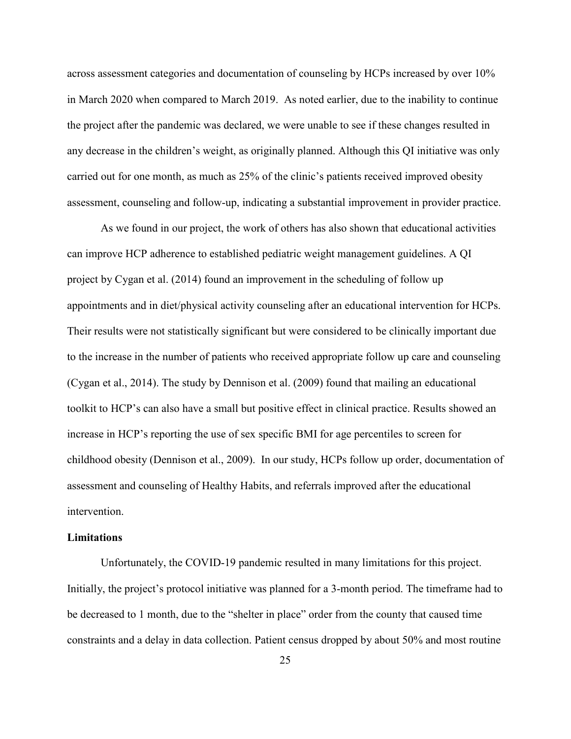across assessment categories and documentation of counseling by HCPs increased by over 10% in March 2020 when compared to March 2019. As noted earlier, due to the inability to continue the project after the pandemic was declared, we were unable to see if these changes resulted in any decrease in the children's weight, as originally planned. Although this QI initiative was only carried out for one month, as much as 25% of the clinic's patients received improved obesity assessment, counseling and follow-up, indicating a substantial improvement in provider practice.

 As we found in our project, the work of others has also shown that educational activities can improve HCP adherence to established pediatric weight management guidelines. A QI project by Cygan et al. (2014) found an improvement in the scheduling of follow up appointments and in diet/physical activity counseling after an educational intervention for HCPs. Their results were not statistically significant but were considered to be clinically important due to the increase in the number of patients who received appropriate follow up care and counseling (Cygan et al., 2014). The study by Dennison et al. (2009) found that mailing an educational toolkit to HCP's can also have a small but positive effect in clinical practice. Results showed an increase in HCP's reporting the use of sex specific BMI for age percentiles to screen for childhood obesity (Dennison et al., 2009). In our study, HCPs follow up order, documentation of assessment and counseling of Healthy Habits, and referrals improved after the educational intervention.

#### **Limitations**

Unfortunately, the COVID-19 pandemic resulted in many limitations for this project. Initially, the project's protocol initiative was planned for a 3-month period. The timeframe had to be decreased to 1 month, due to the "shelter in place" order from the county that caused time constraints and a delay in data collection. Patient census dropped by about 50% and most routine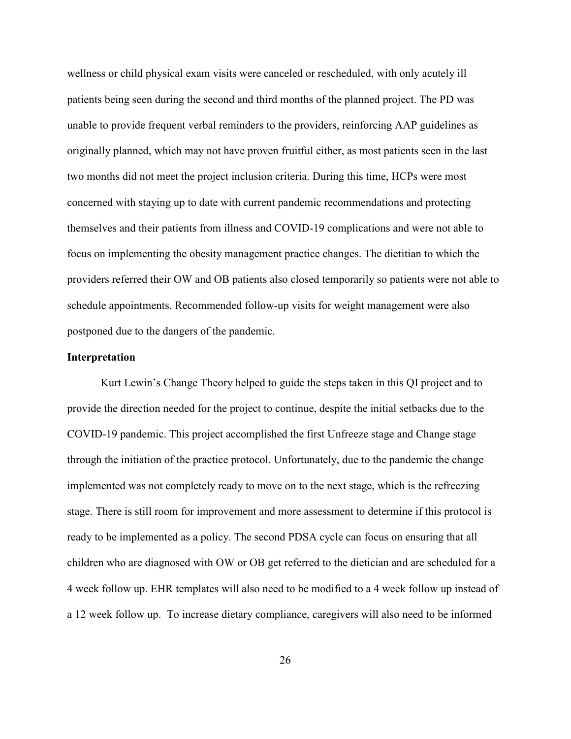wellness or child physical exam visits were canceled or rescheduled, with only acutely ill patients being seen during the second and third months of the planned project. The PD was unable to provide frequent verbal reminders to the providers, reinforcing AAP guidelines as originally planned, which may not have proven fruitful either, as most patients seen in the last two months did not meet the project inclusion criteria. During this time, HCPs were most concerned with staying up to date with current pandemic recommendations and protecting themselves and their patients from illness and COVID-19 complications and were not able to focus on implementing the obesity management practice changes. The dietitian to which the providers referred their OW and OB patients also closed temporarily so patients were not able to schedule appointments. Recommended follow-up visits for weight management were also postponed due to the dangers of the pandemic.

#### **Interpretation**

Kurt Lewin's Change Theory helped to guide the steps taken in this QI project and to provide the direction needed for the project to continue, despite the initial setbacks due to the COVID-19 pandemic. This project accomplished the first Unfreeze stage and Change stage through the initiation of the practice protocol. Unfortunately, due to the pandemic the change implemented was not completely ready to move on to the next stage, which is the refreezing stage. There is still room for improvement and more assessment to determine if this protocol is ready to be implemented as a policy. The second PDSA cycle can focus on ensuring that all children who are diagnosed with OW or OB get referred to the dietician and are scheduled for a 4 week follow up. EHR templates will also need to be modified to a 4 week follow up instead of a 12 week follow up. To increase dietary compliance, caregivers will also need to be informed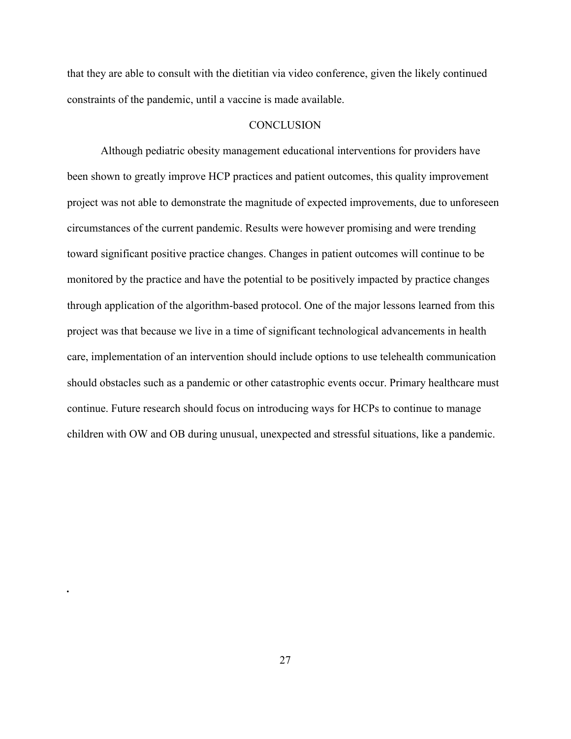that they are able to consult with the dietitian via video conference, given the likely continued constraints of the pandemic, until a vaccine is made available.

#### **CONCLUSION**

Although pediatric obesity management educational interventions for providers have been shown to greatly improve HCP practices and patient outcomes, this quality improvement project was not able to demonstrate the magnitude of expected improvements, due to unforeseen circumstances of the current pandemic. Results were however promising and were trending toward significant positive practice changes. Changes in patient outcomes will continue to be monitored by the practice and have the potential to be positively impacted by practice changes through application of the algorithm-based protocol. One of the major lessons learned from this project was that because we live in a time of significant technological advancements in health care, implementation of an intervention should include options to use telehealth communication should obstacles such as a pandemic or other catastrophic events occur. Primary healthcare must continue. Future research should focus on introducing ways for HCPs to continue to manage children with OW and OB during unusual, unexpected and stressful situations, like a pandemic.

*.*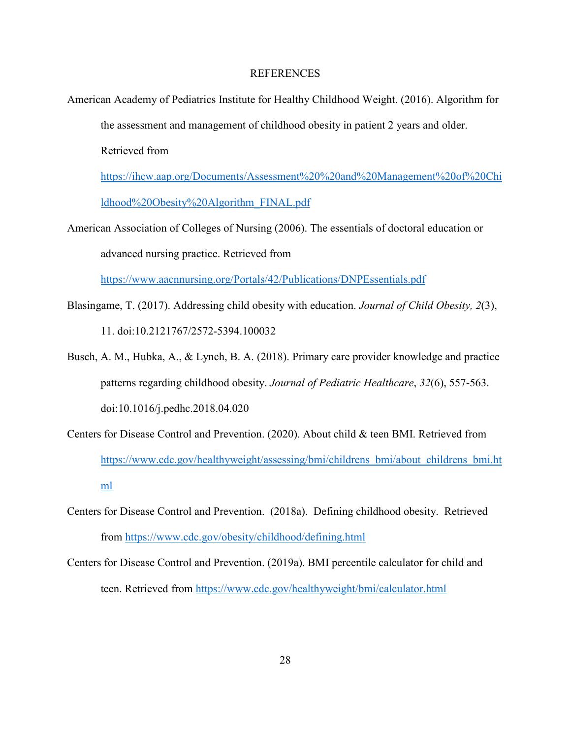#### REFERENCES

American Academy of Pediatrics Institute for Healthy Childhood Weight. (2016). Algorithm for the assessment and management of childhood obesity in patient 2 years and older. Retrieved from

https://ihcw.aap.org/Documents/Assessment%20%20and%20Management%20of%20Chi ldhood%20Obesity%20Algorithm\_FINAL.pdf

American Association of Colleges of Nursing (2006). The essentials of doctoral education or advanced nursing practice. Retrieved from

https://www.aacnnursing.org/Portals/42/Publications/DNPEssentials.pdf

- Blasingame, T. (2017). Addressing child obesity with education. *Journal of Child Obesity, 2*(3), 11. doi:10.2121767/2572-5394.100032
- Busch, A. M., Hubka, A., & Lynch, B. A. (2018). Primary care provider knowledge and practice patterns regarding childhood obesity. *Journal of Pediatric Healthcare*, *32*(6), 557-563. doi:10.1016/j.pedhc.2018.04.020
- Centers for Disease Control and Prevention. (2020). About child & teen BMI. Retrieved from https://www.cdc.gov/healthyweight/assessing/bmi/childrens\_bmi/about\_childrens\_bmi.ht ml
- Centers for Disease Control and Prevention. (2018a). Defining childhood obesity. Retrieved from https://www.cdc.gov/obesity/childhood/defining.html
- Centers for Disease Control and Prevention. (2019a). BMI percentile calculator for child and teen. Retrieved from https://www.cdc.gov/healthyweight/bmi/calculator.html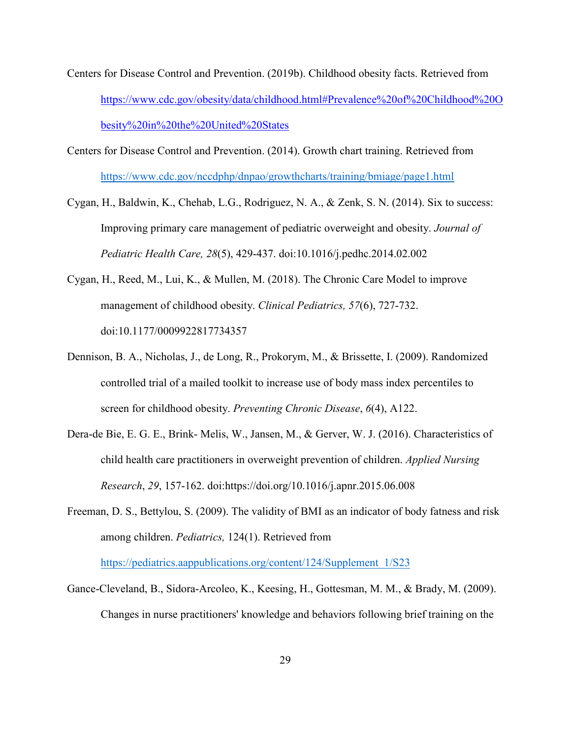- Centers for Disease Control and Prevention. (2019b). Childhood obesity facts. Retrieved from https://www.cdc.gov/obesity/data/childhood.html#Prevalence%20of%20Childhood%20O besity%20in%20the%20United%20States
- Centers for Disease Control and Prevention. (2014). Growth chart training. Retrieved from https://www.cdc.gov/nccdphp/dnpao/growthcharts/training/bmiage/page1.html
- Cygan, H., Baldwin, K., Chehab, L.G., Rodriguez, N. A., & Zenk, S. N. (2014). Six to success: Improving primary care management of pediatric overweight and obesity. *Journal of Pediatric Health Care, 28*(5), 429-437. doi:10.1016/j.pedhc.2014.02.002
- Cygan, H., Reed, M., Lui, K., & Mullen, M. (2018). The Chronic Care Model to improve management of childhood obesity. *Clinical Pediatrics, 57*(6), 727-732. doi:10.1177/0009922817734357
- Dennison, B. A., Nicholas, J., de Long, R., Prokorym, M., & Brissette, I. (2009). Randomized controlled trial of a mailed toolkit to increase use of body mass index percentiles to screen for childhood obesity. *Preventing Chronic Disease*, *6*(4), A122.
- Dera-de Bie, E. G. E., Brink- Melis, W., Jansen, M., & Gerver, W. J. (2016). Characteristics of child health care practitioners in overweight prevention of children. *Applied Nursing Research*, *29*, 157-162. doi:https://doi.org/10.1016/j.apnr.2015.06.008
- Freeman, D. S., Bettylou, S. (2009). The validity of BMI as an indicator of body fatness and risk among children. *Pediatrics,* 124(1). Retrieved from https://pediatrics.aappublications.org/content/124/Supplement\_1/S23
- Gance-Cleveland, B., Sidora-Arcoleo, K., Keesing, H., Gottesman, M. M., & Brady, M. (2009). Changes in nurse practitioners' knowledge and behaviors following brief training on the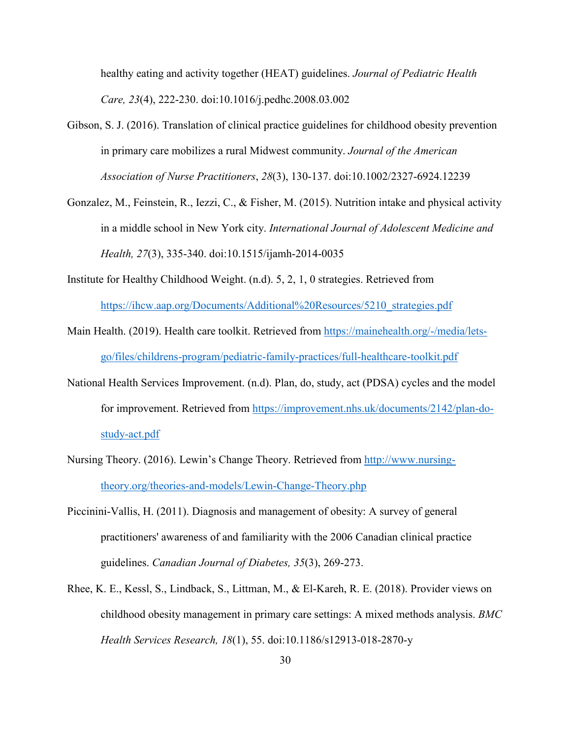healthy eating and activity together (HEAT) guidelines. *Journal of Pediatric Health Care, 23*(4), 222-230. doi:10.1016/j.pedhc.2008.03.002

- Gibson, S. J. (2016). Translation of clinical practice guidelines for childhood obesity prevention in primary care mobilizes a rural Midwest community. *Journal of the American Association of Nurse Practitioners*, *28*(3), 130-137. doi:10.1002/2327-6924.12239
- Gonzalez, M., Feinstein, R., Iezzi, C., & Fisher, M. (2015). Nutrition intake and physical activity in a middle school in New York city. *International Journal of Adolescent Medicine and Health, 27*(3), 335-340. doi:10.1515/ijamh-2014-0035
- Institute for Healthy Childhood Weight. (n.d). 5, 2, 1, 0 strategies. Retrieved from https://ihcw.aap.org/Documents/Additional%20Resources/5210\_strategies.pdf
- Main Health. (2019). Health care toolkit. Retrieved from https://mainehealth.org/-/media/letsgo/files/childrens-program/pediatric-family-practices/full-healthcare-toolkit.pdf
- National Health Services Improvement. (n.d). Plan, do, study, act (PDSA) cycles and the model for improvement. Retrieved from https://improvement.nhs.uk/documents/2142/plan-dostudy-act.pdf
- Nursing Theory. (2016). Lewin's Change Theory. Retrieved from http://www.nursingtheory.org/theories-and-models/Lewin-Change-Theory.php
- Piccinini-Vallis, H. (2011). Diagnosis and management of obesity: A survey of general practitioners' awareness of and familiarity with the 2006 Canadian clinical practice guidelines. *Canadian Journal of Diabetes, 35*(3), 269-273.
- Rhee, K. E., Kessl, S., Lindback, S., Littman, M., & El-Kareh, R. E. (2018). Provider views on childhood obesity management in primary care settings: A mixed methods analysis. *BMC Health Services Research, 18*(1), 55. doi:10.1186/s12913-018-2870-y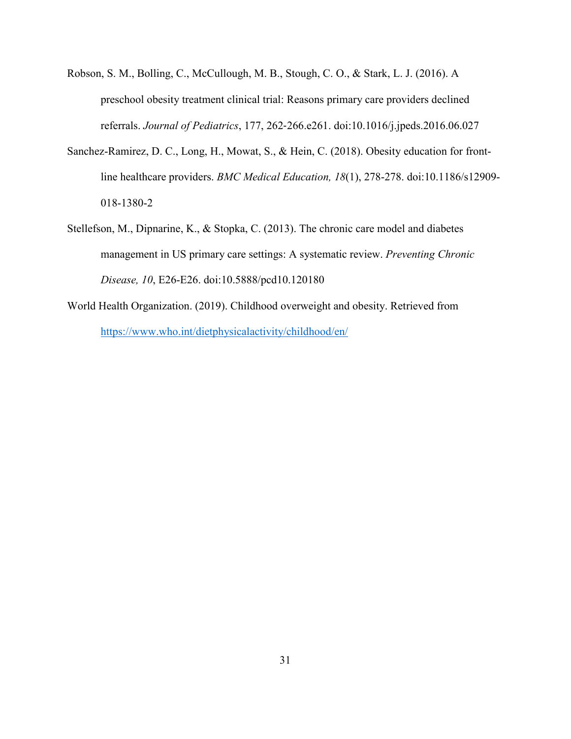- Robson, S. M., Bolling, C., McCullough, M. B., Stough, C. O., & Stark, L. J. (2016). A preschool obesity treatment clinical trial: Reasons primary care providers declined referrals. *Journal of Pediatrics*, 177, 262‐266.e261. doi:10.1016/j.jpeds.2016.06.027
- Sanchez-Ramirez, D. C., Long, H., Mowat, S., & Hein, C. (2018). Obesity education for frontline healthcare providers. *BMC Medical Education, 18*(1), 278-278. doi:10.1186/s12909- 018-1380-2
- Stellefson, M., Dipnarine, K., & Stopka, C. (2013). The chronic care model and diabetes management in US primary care settings: A systematic review. *Preventing Chronic Disease, 10*, E26-E26. doi:10.5888/pcd10.120180
- World Health Organization. (2019). Childhood overweight and obesity. Retrieved from https://www.who.int/dietphysicalactivity/childhood/en/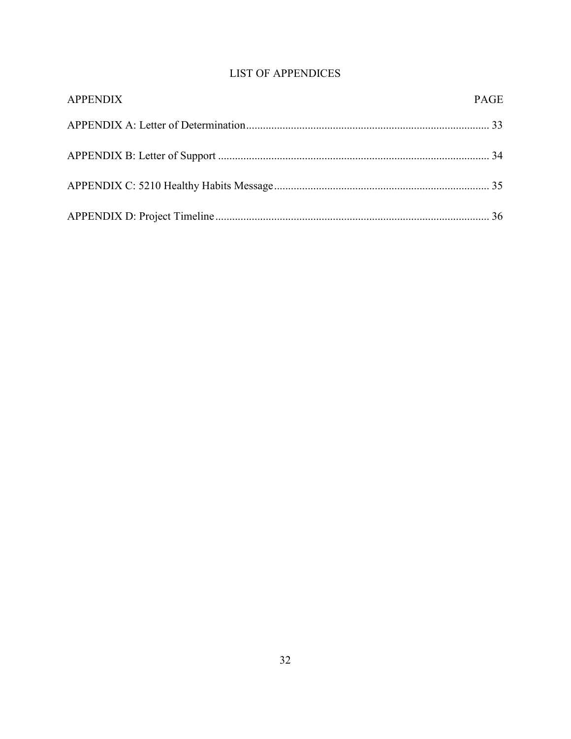## **LIST OF APPENDICES**

| <b>APPENDIX</b> | <b>PAGE</b> |
|-----------------|-------------|
|                 |             |
|                 |             |
|                 |             |
|                 |             |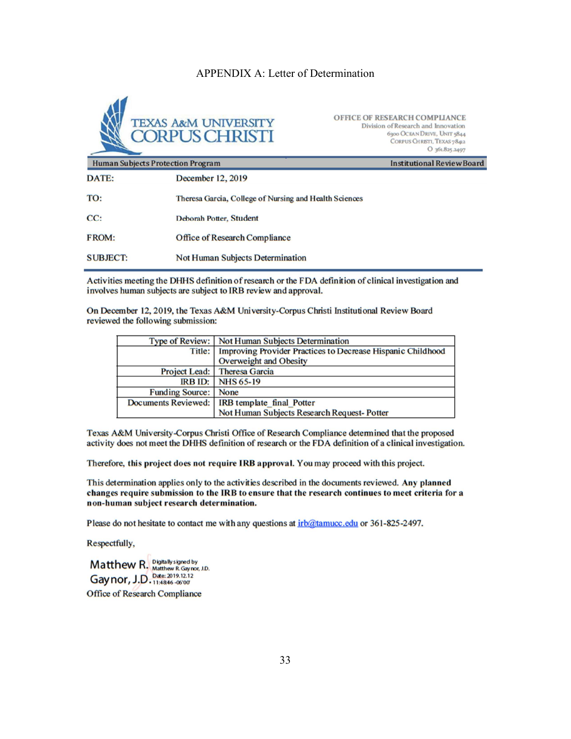#### APPENDIX A: Letter of Determination



OFFICE OF RESEARCH COMPLIANCE Division of Research and Innovation 6300 OCEAN DRIVE, UNIT 5844 CORPUS CHRISTI, TEXAS 7842 O 361.825.2497

| <b>Human Subjects Protection Program</b> |                                                        | <b>Institutional Review Board</b> |
|------------------------------------------|--------------------------------------------------------|-----------------------------------|
| DATE:                                    | December 12, 2019                                      |                                   |
| TO:                                      | Theresa Garcia, College of Nursing and Health Sciences |                                   |
| CC:                                      | Deborah Potter, Student                                |                                   |
| <b>FROM:</b>                             | <b>Office of Research Compliance</b>                   |                                   |
| <b>SUBJECT:</b>                          | <b>Not Human Subjects Determination</b>                |                                   |

Activities meeting the DHHS definition of research or the FDA definition of clinical investigation and involves human subjects are subject to IRB review and approval.

On December 12, 2019, the Texas A&M University-Corpus Christi Institutional Review Board reviewed the following submission:

|                        | Type of Review:   Not Human Subjects Determination          |  |
|------------------------|-------------------------------------------------------------|--|
| Title:                 | Improving Provider Practices to Decrease Hispanic Childhood |  |
|                        | Overweight and Obesity                                      |  |
|                        | Project Lead: Theresa Garcia                                |  |
| RBID:                  | <b>NHS 65-19</b>                                            |  |
| <b>Funding Source:</b> | <b>None</b>                                                 |  |
| Documents Reviewed:    | <b>IRB</b> template final Potter                            |  |
|                        | Not Human Subjects Research Request-Potter                  |  |

Texas A&M University-Corpus Christi Office of Research Compliance determined that the proposed activity does not meet the DHHS definition of research or the FDA definition of a clinical investigation.

Therefore, this project does not require IRB approval. You may proceed with this project.

This determination applies only to the activities described in the documents reviewed. Any planned changes require submission to the IRB to ensure that the research continues to meet criteria for a non-human subject research determination.

Please do not hesitate to contact me with any questions at irb@tamucc.edu or 361-825-2497.

Respectfully,

Matthew R. Digitally signed by<br>Gaynor, J.D. Date: 2019.12.12<br>Gaynor, J.D. 11:4846-06'00' **Office of Research Compliance**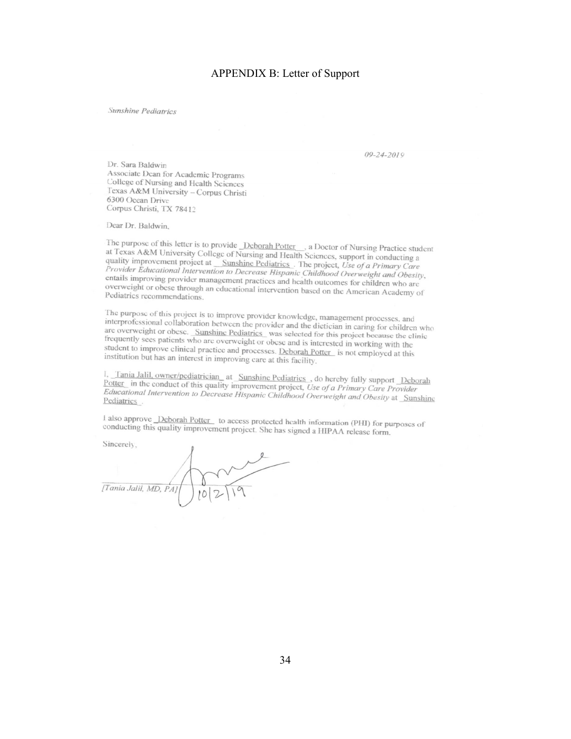#### APPENDIX B: Letter of Support

#### Sunshine Pediatrics

 $09 - 24 - 2019$ 

Dr. Sara Baldwin Associate Dean for Academic Programs College of Nursing and Health Sciences Texas A&M University - Corpus Christi 6300 Ocean Drive Corpus Christi, TX 78412

Dear Dr. Baldwin,

The purpose of this letter is to provide <u>Deborah Potter</u> a Doctor of Nursing Practice student<br>at Texas A&M University College of Nursing and Health Sciences exas A&M University College of Nursing Practice students to provide <u>Deborah Potter</u> a Doctor of Nursing Practice students and Texas A&M University College of Nursing and Health Sciences, support in conducting a quality im quality improvement project at \_Sunshine Pediatrics \_The project, *Use of a Primary Care*<br>*Provider Educational Intervention to Decrease Himpais Claim* (*Claims*) Care Provider Educational Intervention to Decrease Hispanic Childhood Overweight and Obesity,<br>entails improving provider management provider and Childhood Overweight and Obesity, entails improving provider management practices and health outcomes for children who are<br>overweight or obese through an educational intervals in the state of children who are overweight or obese through an educational intervention based on the American Academy of<br>Pediatrics recommendations Pediatrics recommendations.

The purpose of this project is to improve provider knowledge, management processes, and interprofessional collaboration between the provider interprofessional collaboration between the provider interprofessional collaboration between the provider knowledge, management processes, and<br>interprofessional collaboration between the provider and the dictician in caring for children who<br>are overweight or obese. are overweight or obese. Sumshine Pediatrics was selected for this project because the clinic<br>frequently sees patients who are overweight or obese. The project because the clinic are overlapping to do set a substitute production was selected for this project because the effequently sees patients who are overweight or obese and is interested in working with the student to improve clinical practice a student to improve clinical practice and processes. Deborah Potter is not employed at this<br>institution but has an interest in improving care at this facility. institution but has an interest in improving care at this facility.

<sup>I</sup>, Tania Jalil, owner/pediatrician at Sunshine Pediatrics do hereby fully support Deborah<br>Potter in the conduct of this quality improvements Potter in the conduct of this quality improvement project, Use of a Primary Care Provider<br>Educational Intervention to Decision Hipprovement project, Use of a Primary Care Provider *Educational Intervention to Decrease Hispanic Childhood Overweight and Obesity at Sunshine*<br>Pediatrics . Pediatrics.

I also approve <u>Deborah Potter</u> to access protected health information (PHI) for purposes of conducting this quality improvement project. She has in the WILE of the U.S. also upprove <u>recordant potter</u> to access protected health information (PHI) for pu<br>conducting this quality improvement project. She has signed a HIPAA release form.

Sincerely,

[Tania Jalil, MD, PA]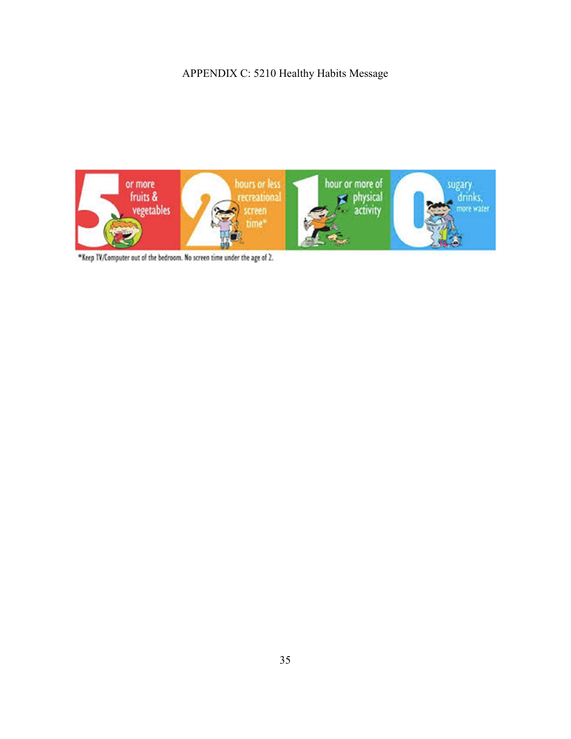## APPENDIX C: 5210 Healthy Habits Message



\*Keep IV/Computer out of the bedroom. No screen time under the age of 2.